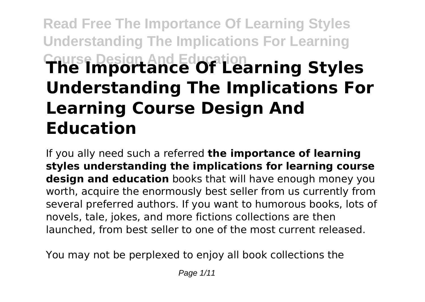# **Read Free The Importance Of Learning Styles Understanding The Implications For Learning Course Design And Education The Importance Of Learning Styles Understanding The Implications For Learning Course Design And Education**

If you ally need such a referred **the importance of learning styles understanding the implications for learning course design and education** books that will have enough money you worth, acquire the enormously best seller from us currently from several preferred authors. If you want to humorous books, lots of novels, tale, jokes, and more fictions collections are then launched, from best seller to one of the most current released.

You may not be perplexed to enjoy all book collections the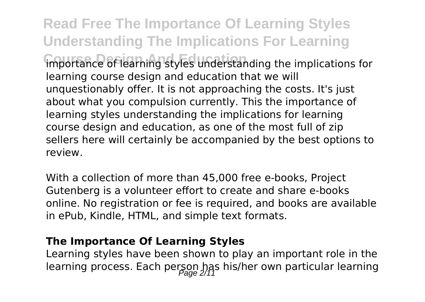**Read Free The Importance Of Learning Styles Understanding The Implications For Learning** importance of learning styles understanding the implications for learning course design and education that we will unquestionably offer. It is not approaching the costs. It's just about what you compulsion currently. This the importance of learning styles understanding the implications for learning course design and education, as one of the most full of zip sellers here will certainly be accompanied by the best options to review.

With a collection of more than 45,000 free e-books, Project Gutenberg is a volunteer effort to create and share e-books online. No registration or fee is required, and books are available in ePub, Kindle, HTML, and simple text formats.

#### **The Importance Of Learning Styles**

Learning styles have been shown to play an important role in the learning process. Each person has his/her own particular learning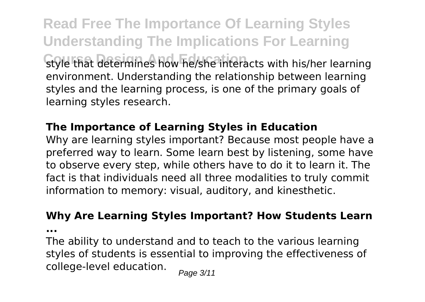**Read Free The Importance Of Learning Styles Understanding The Implications For Learning** style that determines how he/she interacts with his/her learning environment. Understanding the relationship between learning styles and the learning process, is one of the primary goals of learning styles research.

#### **The Importance of Learning Styles in Education**

Why are learning styles important? Because most people have a preferred way to learn. Some learn best by listening, some have to observe every step, while others have to do it to learn it. The fact is that individuals need all three modalities to truly commit information to memory: visual, auditory, and kinesthetic.

## **Why Are Learning Styles Important? How Students Learn**

**...**

The ability to understand and to teach to the various learning styles of students is essential to improving the effectiveness of college-level education.  $_{\text{Page 3/11}}$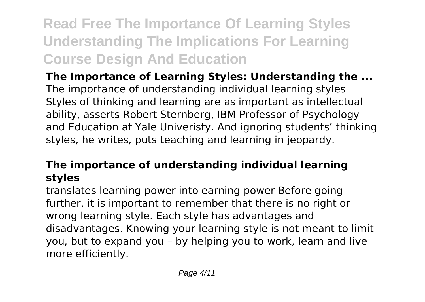## **Read Free The Importance Of Learning Styles Understanding The Implications For Learning Course Design And Education**

**The Importance of Learning Styles: Understanding the ...** The importance of understanding individual learning styles Styles of thinking and learning are as important as intellectual ability, asserts Robert Sternberg, IBM Professor of Psychology and Education at Yale Univeristy. And ignoring students' thinking styles, he writes, puts teaching and learning in jeopardy.

### **The importance of understanding individual learning styles**

translates learning power into earning power Before going further, it is important to remember that there is no right or wrong learning style. Each style has advantages and disadvantages. Knowing your learning style is not meant to limit you, but to expand you – by helping you to work, learn and live more efficiently.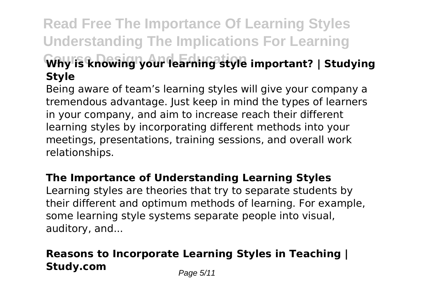## **Read Free The Importance Of Learning Styles Understanding The Implications For Learning Course Design And Education Why is knowing your learning style important? | Studying Style**

Being aware of team's learning styles will give your company a tremendous advantage. Just keep in mind the types of learners in your company, and aim to increase reach their different learning styles by incorporating different methods into your meetings, presentations, training sessions, and overall work relationships.

#### **The Importance of Understanding Learning Styles**

Learning styles are theories that try to separate students by their different and optimum methods of learning. For example, some learning style systems separate people into visual, auditory, and...

## **Reasons to Incorporate Learning Styles in Teaching | Study.com** Page 5/11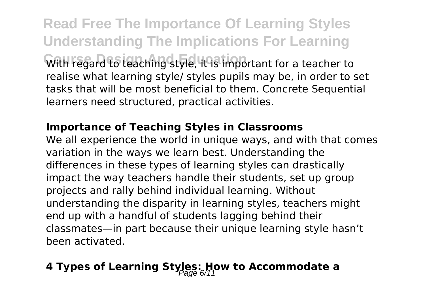**Read Free The Importance Of Learning Styles Understanding The Implications For Learning** With regard to teaching style, it is important for a teacher to realise what learning style/ styles pupils may be, in order to set tasks that will be most beneficial to them. Concrete Sequential learners need structured, practical activities.

#### **Importance of Teaching Styles in Classrooms**

We all experience the world in unique ways, and with that comes variation in the ways we learn best. Understanding the differences in these types of learning styles can drastically impact the way teachers handle their students, set up group projects and rally behind individual learning. Without understanding the disparity in learning styles, teachers might end up with a handful of students lagging behind their classmates—in part because their unique learning style hasn't been activated.

## **4 Types of Learning Styles: How to Accommodate a**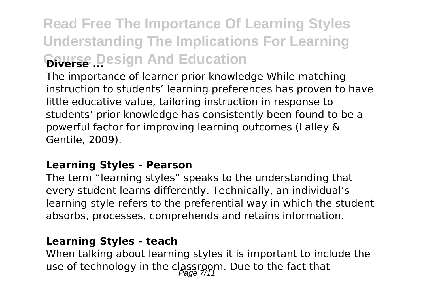## **Read Free The Importance Of Learning Styles Understanding The Implications For Learning Gourse Design And Education**

The importance of learner prior knowledge While matching instruction to students' learning preferences has proven to have little educative value, tailoring instruction in response to students' prior knowledge has consistently been found to be a powerful factor for improving learning outcomes (Lalley & Gentile, 2009).

#### **Learning Styles - Pearson**

The term "learning styles" speaks to the understanding that every student learns differently. Technically, an individual's learning style refers to the preferential way in which the student absorbs, processes, comprehends and retains information.

#### **Learning Styles - teach**

When talking about learning styles it is important to include the use of technology in the classroom. Due to the fact that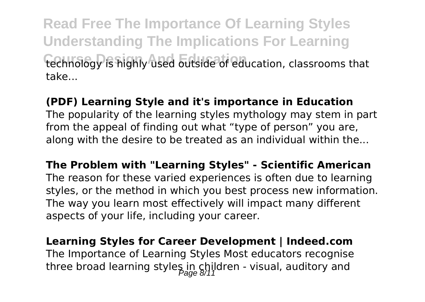**Read Free The Importance Of Learning Styles Understanding The Implications For Learning** technology is highly used outside of education, classrooms that take...

#### **(PDF) Learning Style and it's importance in Education**

The popularity of the learning styles mythology may stem in part from the appeal of finding out what "type of person" you are, along with the desire to be treated as an individual within the...

**The Problem with "Learning Styles" - Scientific American** The reason for these varied experiences is often due to learning styles, or the method in which you best process new information. The way you learn most effectively will impact many different aspects of your life, including your career.

**Learning Styles for Career Development | Indeed.com** The Importance of Learning Styles Most educators recognise three broad learning styles in children - visual, auditory and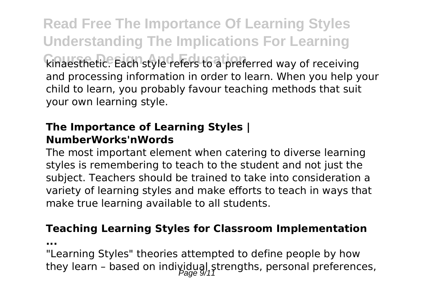**Read Free The Importance Of Learning Styles Understanding The Implications For Learning Course Design And Education** kinaesthetic. Each style refers to a preferred way of receiving and processing information in order to learn. When you help your child to learn, you probably favour teaching methods that suit your own learning style.

#### **The Importance of Learning Styles | NumberWorks'nWords**

The most important element when catering to diverse learning styles is remembering to teach to the student and not just the subject. Teachers should be trained to take into consideration a variety of learning styles and make efforts to teach in ways that make true learning available to all students.

#### **Teaching Learning Styles for Classroom Implementation**

**...**

"Learning Styles" theories attempted to define people by how they learn - based on individual strengths, personal preferences,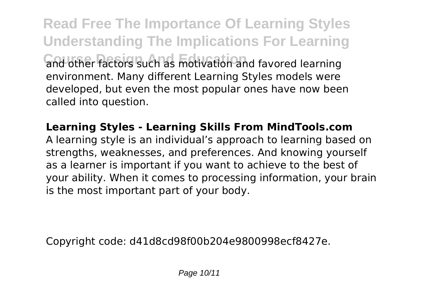**Read Free The Importance Of Learning Styles Understanding The Implications For Learning Course Design And Education** and other factors such as motivation and favored learning environment. Many different Learning Styles models were developed, but even the most popular ones have now been called into question.

### **Learning Styles - Learning Skills From MindTools.com**

A learning style is an individual's approach to learning based on strengths, weaknesses, and preferences. And knowing yourself as a learner is important if you want to achieve to the best of your ability. When it comes to processing information, your brain is the most important part of your body.

Copyright code: d41d8cd98f00b204e9800998ecf8427e.